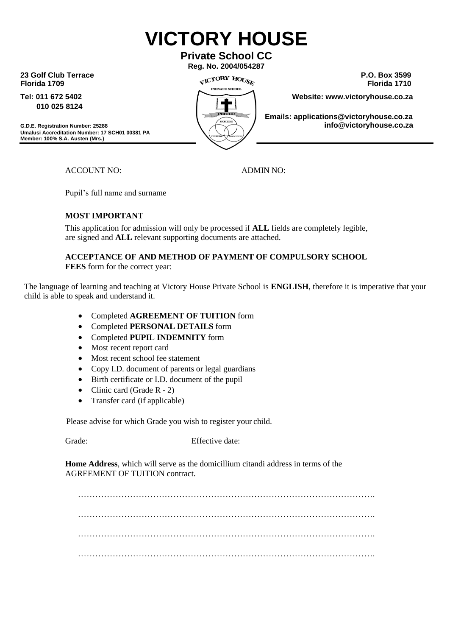|                                                                                                                         | VICTORY HOUSE                                                  |                                                                    |
|-------------------------------------------------------------------------------------------------------------------------|----------------------------------------------------------------|--------------------------------------------------------------------|
|                                                                                                                         | <b>Private School CC</b>                                       |                                                                    |
| 23 Golf Club Terrace<br>Florida 1709                                                                                    | Reg. No. 2004/054287<br>VICTORY HOUSE<br><b>PRIVATE SCHOOL</b> | P.O. Box 3599<br>Florida 1710                                      |
| Tel: 011 672 5402<br>010 025 8124                                                                                       | PEITHO                                                         | Website: www.victoryhouse.co.za                                    |
| G.D.E. Registration Number: 25288<br>Umalusi Accreditation Number: 17 SCH01 00381 PA<br>Member: 100% S.A. Austen (Mrs.) | <b>KNOWLEDGE</b><br>$CULTURI$ $\leftarrow$ $T_{COMMUNI}$       | Emails: applications@victoryhouse.co.za<br>info@victoryhouse.co.za |
| <b>ACCOUNT NO:</b>                                                                                                      | ADMIN NO:                                                      |                                                                    |

**VICTORY HOUSE**

Pupil's full name and surname

## **MOST IMPORTANT**

This application for admission will only be processed if **ALL** fields are completely legible, are signed and **ALL** relevant supporting documents are attached.

## **ACCEPTANCE OF AND METHOD OF PAYMENT OF COMPULSORY SCHOOL**

**FEES** form for the correct year:

The language of learning and teaching at Victory House Private School is **ENGLISH**, therefore it is imperative that your child is able to speak and understand it.

- Completed **AGREEMENT OF TUITION** form
- Completed **PERSONAL DETAILS** form
- Completed **PUPIL INDEMNITY** form
- Most recent report card
- Most recent school fee statement
- Copy I.D. document of parents or legal guardians
- Birth certificate or I.D. document of the pupil
- Clinic card (Grade R 2)
- Transfer card (if applicable)

Please advise for which Grade you wish to register your child.

Grade: Effective date:

**Home Address**, which will serve as the domicillium citandi address in terms of the AGREEMENT OF TUITION contract.

…………………………………………………………………………………………. …………………………………………………………………………………………. …………………………………………………………………………………………. ………………………………………………………………………………………….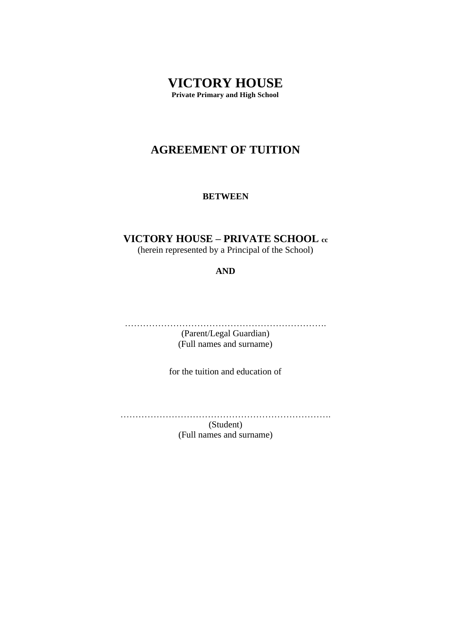

# **AGREEMENT OF TUITION**

## **BETWEEN**

## **VICTORY HOUSE – PRIVATE SCHOOL cc**

(herein represented by a Principal of the School)

**AND**

………………………………………………………….

(Parent/Legal Guardian) (Full names and surname)

for the tuition and education of

…………………………………………………………….

(Student) (Full names and surname)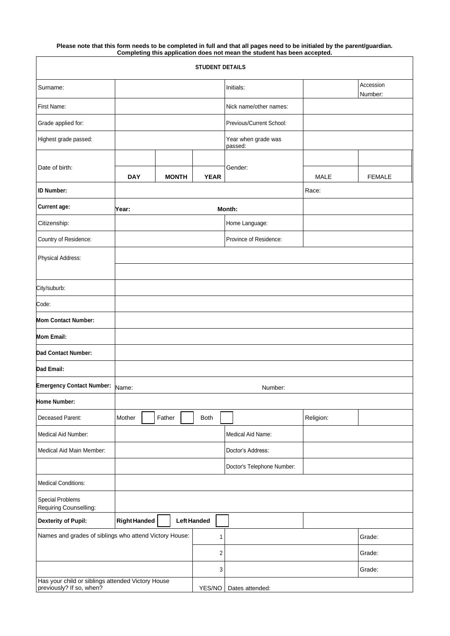| Completing this application does not mean the student has been accepted.<br><b>STUDENT DETAILS</b> |                     |              |                    |                                |             |               |
|----------------------------------------------------------------------------------------------------|---------------------|--------------|--------------------|--------------------------------|-------------|---------------|
|                                                                                                    |                     |              |                    |                                |             | Accession     |
| Surname:                                                                                           |                     |              |                    | Initials:                      |             | Number:       |
| First Name:                                                                                        |                     |              |                    | Nick name/other names:         |             |               |
| Grade applied for:                                                                                 |                     |              |                    | Previous/Current School:       |             |               |
| Highest grade passed:                                                                              |                     |              |                    | Year when grade was<br>passed: |             |               |
| Date of birth:                                                                                     |                     |              |                    | Gender:                        |             |               |
|                                                                                                    | <b>DAY</b>          | <b>MONTH</b> | <b>YEAR</b>        |                                | <b>MALE</b> | <b>FEMALE</b> |
| ID Number:                                                                                         |                     |              |                    |                                | Race:       |               |
| <b>Current age:</b>                                                                                | Year:               |              |                    | Month:                         |             |               |
| Citizenship:                                                                                       |                     |              |                    | Home Language:                 |             |               |
| Country of Residence:                                                                              |                     |              |                    | Province of Residence:         |             |               |
| Physical Address:                                                                                  |                     |              |                    |                                |             |               |
|                                                                                                    |                     |              |                    |                                |             |               |
| City/suburb:                                                                                       |                     |              |                    |                                |             |               |
| Code:                                                                                              |                     |              |                    |                                |             |               |
| <b>Mom Contact Number:</b>                                                                         |                     |              |                    |                                |             |               |
| <b>Mom Email:</b>                                                                                  |                     |              |                    |                                |             |               |
| Dad Contact Number:                                                                                |                     |              |                    |                                |             |               |
| Dad Email:                                                                                         |                     |              |                    |                                |             |               |
| Emergency Contact Number: Name:<br>Number:                                                         |                     |              |                    |                                |             |               |
| <b>Home Number:</b>                                                                                |                     |              |                    |                                |             |               |
| Deceased Parent:                                                                                   | Mother              | Father       | <b>Both</b>        |                                | Religion:   |               |
| Medical Aid Number:                                                                                |                     |              |                    | Medical Aid Name:              |             |               |
| Medical Aid Main Member:                                                                           |                     |              |                    | Doctor's Address:              |             |               |
|                                                                                                    |                     |              |                    | Doctor's Telephone Number:     |             |               |
| <b>Medical Conditions:</b>                                                                         |                     |              |                    |                                |             |               |
| <b>Special Problems</b><br>Requiring Counselling:                                                  |                     |              |                    |                                |             |               |
| <b>Dexterity of Pupil:</b>                                                                         | <b>Right Handed</b> |              | <b>Left Handed</b> |                                |             |               |
| Names and grades of siblings who attend Victory House:                                             |                     |              | 1                  |                                |             | Grade:        |
|                                                                                                    |                     |              | 2                  |                                |             | Grade:        |
|                                                                                                    |                     |              | 3                  |                                |             | Grade:        |
| Has your child or siblings attended Victory House<br>previously? If so, when?                      |                     |              |                    | YES/NO   Dates attended:       |             |               |

**Please note that this form needs to be completed in full and that all pages need to be initialed by the parent/guardian.**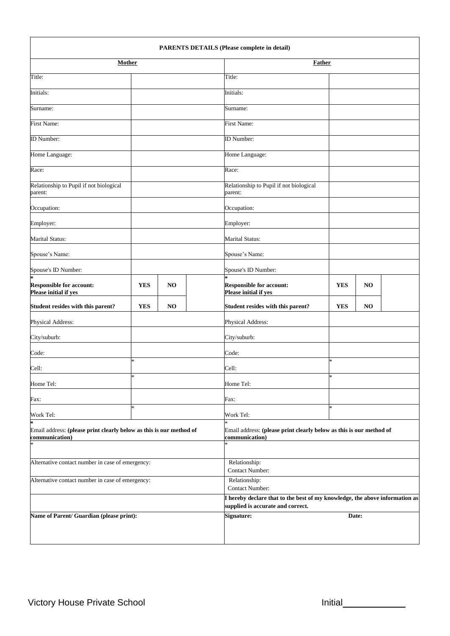| <b>PARENTS DETAILS (Please complete in detail)</b>                                    |            |                                  |  |                                                                                                                  |            |                |  |
|---------------------------------------------------------------------------------------|------------|----------------------------------|--|------------------------------------------------------------------------------------------------------------------|------------|----------------|--|
| <b>Mother</b>                                                                         |            | <b>Father</b>                    |  |                                                                                                                  |            |                |  |
| Title:                                                                                |            |                                  |  | Title:                                                                                                           |            |                |  |
| Initials:                                                                             |            |                                  |  | Initials:                                                                                                        |            |                |  |
| Surname:                                                                              |            |                                  |  | Surname:                                                                                                         |            |                |  |
| <b>First Name:</b>                                                                    |            |                                  |  | First Name:                                                                                                      |            |                |  |
| <b>ID</b> Number:                                                                     |            |                                  |  | <b>ID</b> Number:                                                                                                |            |                |  |
| Home Language:                                                                        |            |                                  |  | Home Language:                                                                                                   |            |                |  |
| Race:                                                                                 |            |                                  |  | Race:                                                                                                            |            |                |  |
| Relationship to Pupil if not biological<br>parent:                                    |            |                                  |  | Relationship to Pupil if not biological<br>parent:                                                               |            |                |  |
| Occupation:                                                                           |            |                                  |  | Occupation:                                                                                                      |            |                |  |
| Employer:                                                                             |            |                                  |  | Employer:                                                                                                        |            |                |  |
| <b>Marital Status:</b>                                                                |            |                                  |  | <b>Marital Status:</b>                                                                                           |            |                |  |
| Spouse's Name:                                                                        |            |                                  |  | Spouse's Name:                                                                                                   |            |                |  |
| Spouse's ID Number:                                                                   |            |                                  |  | Spouse's ID Number:                                                                                              |            |                |  |
| <b>Responsible for account:</b><br>Please initial if yes                              | <b>YES</b> | NO                               |  | <b>Responsible for account:</b><br>Please initial if yes                                                         | <b>YES</b> | N <sub>O</sub> |  |
| Student resides with this parent?                                                     | <b>YES</b> | N <sub>O</sub>                   |  | Student resides with this parent?                                                                                | <b>YES</b> | N <sub>O</sub> |  |
| Physical Address:                                                                     |            |                                  |  | Physical Address:                                                                                                |            |                |  |
| City/suburb:                                                                          |            |                                  |  | City/suburb:                                                                                                     |            |                |  |
| Code:                                                                                 |            |                                  |  | Code:                                                                                                            |            |                |  |
| Cell:                                                                                 |            |                                  |  | Cell:                                                                                                            |            |                |  |
| Home Tel:                                                                             |            |                                  |  | Home Tel:                                                                                                        | s.         |                |  |
| Fax:                                                                                  |            |                                  |  | Fax:                                                                                                             |            |                |  |
| Work Tel:                                                                             |            |                                  |  | Work Tel:                                                                                                        |            |                |  |
| Email address: (please print clearly below as this is our method of<br>communication) |            |                                  |  | Email address: (please print clearly below as this is our method of<br>communication)                            |            |                |  |
|                                                                                       |            |                                  |  |                                                                                                                  |            |                |  |
| Alternative contact number in case of emergency:                                      |            | Relationship:<br>Contact Number: |  |                                                                                                                  |            |                |  |
| Alternative contact number in case of emergency:                                      |            | Relationship:<br>Contact Number: |  |                                                                                                                  |            |                |  |
|                                                                                       |            |                                  |  | I hereby declare that to the best of my knowledge, the above information as<br>supplied is accurate and correct. |            |                |  |
| Name of Parent/ Guardian (please print):                                              |            |                                  |  | Signature:                                                                                                       | Date:      |                |  |
|                                                                                       |            |                                  |  |                                                                                                                  |            |                |  |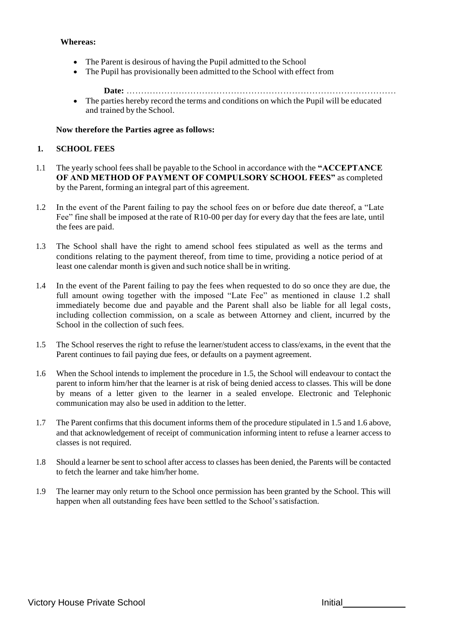#### **Whereas:**

- The Parent is desirous of having the Pupil admitted to the School
- The Pupil has provisionally been admitted to the School with effect from

**Date:** …………………………………………………………………………………

• The parties hereby record the terms and conditions on which the Pupil will be educated and trained by the School.

## **Now therefore the Parties agree as follows:**

## **1. SCHOOL FEES**

- 1.1 The yearly school fees shall be payable to the School in accordance with the **"ACCEPTANCE OF AND METHOD OF PAYMENT OF COMPULSORY SCHOOL FEES"** as completed by the Parent, forming an integral part of this agreement.
- 1.2 In the event of the Parent failing to pay the school fees on or before due date thereof, a "Late Fee" fine shall be imposed at the rate of R10-00 per day for every day that the fees are late, until the fees are paid.
- 1.3 The School shall have the right to amend school fees stipulated as well as the terms and conditions relating to the payment thereof, from time to time, providing a notice period of at least one calendar month is given and such notice shall be in writing.
- 1.4 In the event of the Parent failing to pay the fees when requested to do so once they are due, the full amount owing together with the imposed "Late Fee" as mentioned in clause 1.2 shall immediately become due and payable and the Parent shall also be liable for all legal costs, including collection commission, on a scale as between Attorney and client, incurred by the School in the collection of such fees.
- 1.5 The School reserves the right to refuse the learner/student access to class/exams, in the event that the Parent continues to fail paying due fees, or defaults on a payment agreement.
- 1.6 When the School intends to implement the procedure in 1.5, the School will endeavour to contact the parent to inform him/her that the learner is at risk of being denied access to classes. This will be done by means of a letter given to the learner in a sealed envelope. Electronic and Telephonic communication may also be used in addition to the letter.
- 1.7 The Parent confirms that this document informs them of the procedure stipulated in 1.5 and 1.6 above, and that acknowledgement of receipt of communication informing intent to refuse a learner access to classes is not required.
- 1.8 Should a learner be sent to school after access to classes has been denied, the Parents will be contacted to fetch the learner and take him/her home.
- 1.9 The learner may only return to the School once permission has been granted by the School. This will happen when all outstanding fees have been settled to the School's satisfaction.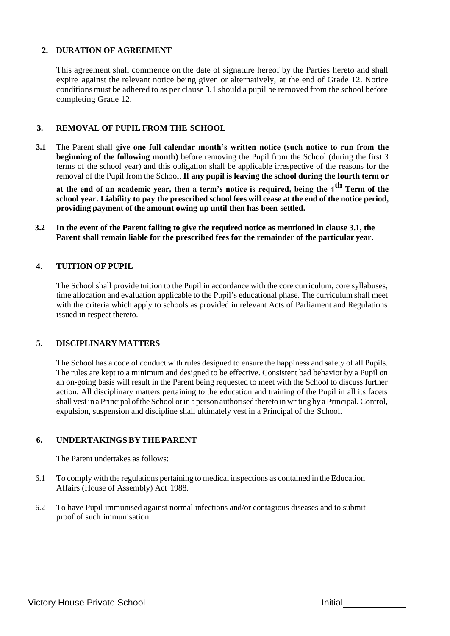## **2. DURATION OF AGREEMENT**

This agreement shall commence on the date of signature hereof by the Parties hereto and shall expire against the relevant notice being given or alternatively, at the end of Grade 12. Notice conditions must be adhered to as per clause 3.1 should a pupil be removed from the school before completing Grade 12.

## **3. REMOVAL OF PUPIL FROM THE SCHOOL**

**3.1** The Parent shall **give one full calendar month's written notice (such notice to run from the beginning of the following month)** before removing the Pupil from the School (during the first 3 terms of the school year) and this obligation shall be applicable irrespective of the reasons for the removal of the Pupil from the School. **If any pupil is leaving the school during the fourth term or** 

**at the end of an academic year, then a term's notice is required, being the 4th Term of the school year. Liability to pay the prescribed school fees will cease at the end of the notice period, providing payment of the amount owing up until then has been settled.**

**3.2 In the event of the Parent failing to give the required notice as mentioned in clause 3.1, the Parent shall remain liable for the prescribed fees for the remainder of the particular year.**

## **4. TUITION OF PUPIL**

The School shall provide tuition to the Pupil in accordance with the core curriculum, core syllabuses, time allocation and evaluation applicable to the Pupil's educational phase. The curriculum shall meet with the criteria which apply to schools as provided in relevant Acts of Parliament and Regulations issued in respect thereto.

## **5. DISCIPLINARY MATTERS**

The School has a code of conduct with rules designed to ensure the happiness and safety of all Pupils. The rules are kept to a minimum and designed to be effective. Consistent bad behavior by a Pupil on an on-going basis will result in the Parent being requested to meet with the School to discuss further action. All disciplinary matters pertaining to the education and training of the Pupil in all its facets shall vest in a Principal of the School or in a person authorised thereto in writing by a Principal. Control, expulsion, suspension and discipline shall ultimately vest in a Principal of the School.

## **6. UNDERTAKINGSBY THEPARENT**

The Parent undertakes as follows:

- 6.1 To comply with the regulations pertaining to medical inspections as contained in the Education Affairs (House of Assembly) Act 1988.
- 6.2 To have Pupil immunised against normal infections and/or contagious diseases and to submit proof of such immunisation.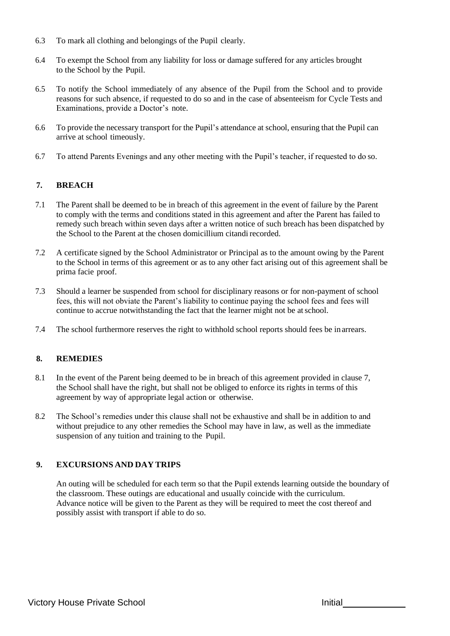- 6.3 To mark all clothing and belongings of the Pupil clearly.
- 6.4 To exempt the School from any liability for loss or damage suffered for any articles brought to the School by the Pupil.
- 6.5 To notify the School immediately of any absence of the Pupil from the School and to provide reasons for such absence, if requested to do so and in the case of absenteeism for Cycle Tests and Examinations, provide a Doctor's note.
- 6.6 To provide the necessary transport for the Pupil's attendance at school, ensuring that the Pupil can arrive at school timeously.
- 6.7 To attend Parents Evenings and any other meeting with the Pupil's teacher, if requested to do so.

## **7. BREACH**

- 7.1 The Parent shall be deemed to be in breach of this agreement in the event of failure by the Parent to comply with the terms and conditions stated in this agreement and after the Parent has failed to remedy such breach within seven days after a written notice of such breach has been dispatched by the School to the Parent at the chosen domicillium citandi recorded.
- 7.2 A certificate signed by the School Administrator or Principal as to the amount owing by the Parent to the School in terms of this agreement or as to any other fact arising out of this agreement shall be prima facie proof.
- 7.3 Should a learner be suspended from school for disciplinary reasons or for non-payment of school fees, this will not obviate the Parent's liability to continue paying the school fees and fees will continue to accrue notwithstanding the fact that the learner might not be atschool.
- 7.4 The school furthermore reserves the right to withhold school reports should fees be inarrears.

## **8. REMEDIES**

- 8.1 In the event of the Parent being deemed to be in breach of this agreement provided in clause 7, the School shall have the right, but shall not be obliged to enforce its rights in terms of this agreement by way of appropriate legal action or otherwise.
- 8.2 The School's remedies under this clause shall not be exhaustive and shall be in addition to and without prejudice to any other remedies the School may have in law, as well as the immediate suspension of any tuition and training to the Pupil.

## **9. EXCURSIONS AND DAY TRIPS**

An outing will be scheduled for each term so that the Pupil extends learning outside the boundary of the classroom. These outings are educational and usually coincide with the curriculum. Advance notice will be given to the Parent as they will be required to meet the cost thereof and possibly assist with transport if able to do so.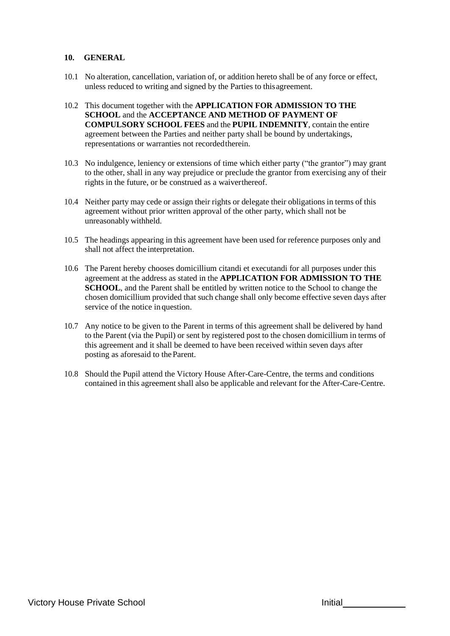## **10. GENERAL**

- 10.1 No alteration, cancellation, variation of, or addition hereto shall be of any force or effect, unless reduced to writing and signed by the Parties to thisagreement.
- 10.2 This document together with the **APPLICATION FOR ADMISSION TO THE SCHOOL** and the **ACCEPTANCE AND METHOD OF PAYMENT OF COMPULSORY SCHOOL FEES** and the **PUPIL INDEMNITY**, contain the entire agreement between the Parties and neither party shall be bound by undertakings, representations or warranties not recordedtherein.
- 10.3 No indulgence, leniency or extensions of time which either party ("the grantor") may grant to the other, shall in any way prejudice or preclude the grantor from exercising any of their rights in the future, or be construed as a waiverthereof.
- 10.4 Neither party may cede or assign their rights or delegate their obligations in terms of this agreement without prior written approval of the other party, which shall not be unreasonably withheld.
- 10.5 The headings appearing in this agreement have been used for reference purposes only and shall not affect the interpretation.
- 10.6 The Parent hereby chooses domicillium citandi et executandi for all purposes under this agreement at the address as stated in the **APPLICATION FOR ADMISSION TO THE SCHOOL**, and the Parent shall be entitled by written notice to the School to change the chosen domicillium provided that such change shall only become effective seven days after service of the notice in question.
- 10.7 Any notice to be given to the Parent in terms of this agreement shall be delivered by hand to the Parent (via the Pupil) or sent by registered post to the chosen domicillium in terms of this agreement and it shall be deemed to have been received within seven days after posting as aforesaid to the Parent.
- 10.8 Should the Pupil attend the Victory House After-Care-Centre, the terms and conditions contained in this agreement shall also be applicable and relevant for the After-Care-Centre.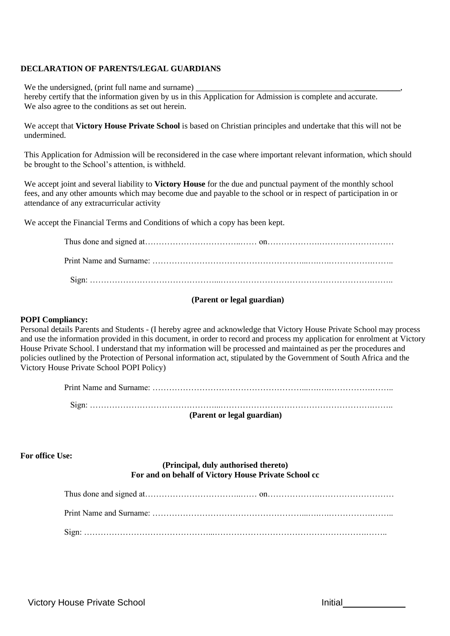## **DECLARATION OF PARENTS/LEGAL GUARDIANS**

We the undersigned, (print full name and surname) hereby certify that the information given by us in this Application for Admission is complete and accurate. We also agree to the conditions as set out herein.

We accept that **Victory House Private School** is based on Christian principles and undertake that this will not be undermined.

This Application for Admission will be reconsidered in the case where important relevant information, which should be brought to the School's attention, is withheld.

We accept joint and several liability to **Victory House** for the due and punctual payment of the monthly school fees, and any other amounts which may become due and payable to the school or in respect of participation in or attendance of any extracurricular activity

We accept the Financial Terms and Conditions of which a copy has been kept.

## **(Parent or legal guardian)**

## **POPI Compliancy:**

Personal details Parents and Students - (I hereby agree and acknowledge that Victory House Private School may process and use the information provided in this document, in order to record and process my application for enrolment at Victory House Private School. I understand that my information will be processed and maintained as per the procedures and policies outlined by the Protection of Personal information act, stipulated by the Government of South Africa and the Victory House Private School POPI Policy)

Print Name and Surname: ………………………………………………...….….…………….……..

Sign: ………………………………………...……………………………………………….……..

 **(Parent or legal guardian)**

## **For office Use:**

## **(Principal, duly authorised thereto) For and on behalf of Victory House Private School cc**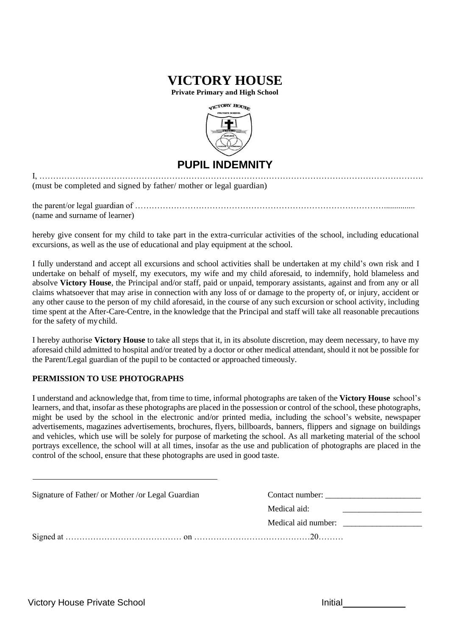

**Private Primary and High School**



I, …………………………………………………………………………………………………………………………. (must be completed and signed by father/ mother or legal guardian)

the parent/or legal guardian of ………………………………………………………………………………............... (name and surname of learner)

hereby give consent for my child to take part in the extra-curricular activities of the school, including educational excursions, as well as the use of educational and play equipment at the school.

I fully understand and accept all excursions and school activities shall be undertaken at my child's own risk and I undertake on behalf of myself, my executors, my wife and my child aforesaid, to indemnify, hold blameless and absolve **Victory House**, the Principal and/or staff, paid or unpaid, temporary assistants, against and from any or all claims whatsoever that may arise in connection with any loss of or damage to the property of, or injury, accident or any other cause to the person of my child aforesaid, in the course of any such excursion or school activity, including time spent at the After-Care-Centre, in the knowledge that the Principal and staff will take all reasonable precautions for the safety of mychild.

I hereby authorise **Victory House** to take all steps that it, in its absolute discretion, may deem necessary, to have my aforesaid child admitted to hospital and/or treated by a doctor or other medical attendant, should it not be possible for the Parent/Legal guardian of the pupil to be contacted or approached timeously.

## **PERMISSION TO USE PHOTOGRAPHS**

I understand and acknowledge that, from time to time, informal photographs are taken of the **Victory House** school's learners, and that, insofar as these photographs are placed in the possession or control of the school, these photographs, might be used by the school in the electronic and/or printed media, including the school's website, newspaper advertisements, magazines advertisements, brochures, flyers, billboards, banners, flippers and signage on buildings and vehicles, which use will be solely for purpose of marketing the school. As all marketing material of the school portrays excellence, the school will at all times, insofar as the use and publication of photographs are placed in the control of the school, ensure that these photographs are used in good taste.

| Signature of Father/ or Mother / or Legal Guardian |              | Contact number:     |
|----------------------------------------------------|--------------|---------------------|
|                                                    | Medical aid: |                     |
|                                                    |              | Medical aid number: |
|                                                    |              |                     |